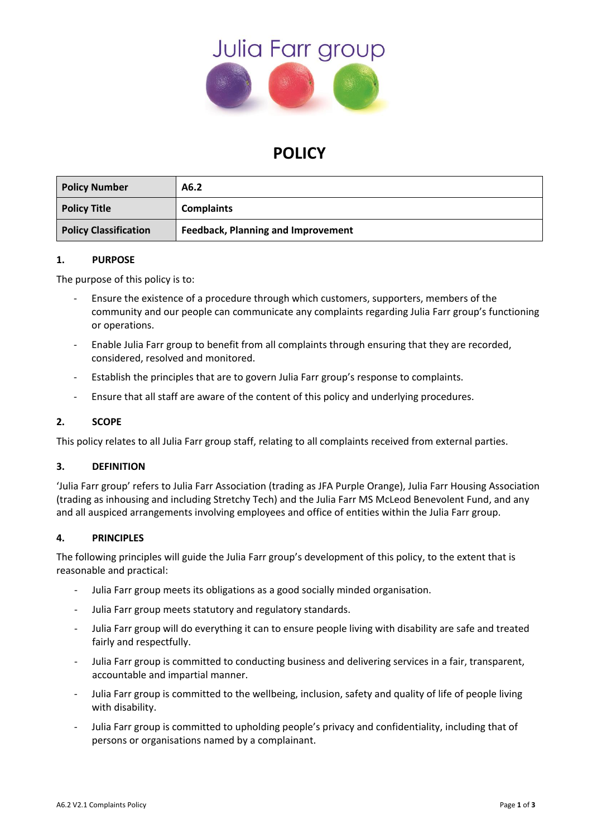

# **POLICY**

| <b>Policy Number</b>         | A6.2                                      |
|------------------------------|-------------------------------------------|
| <b>Policy Title</b>          | <b>Complaints</b>                         |
| <b>Policy Classification</b> | <b>Feedback, Planning and Improvement</b> |

#### **1. PURPOSE**

The purpose of this policy is to:

- Ensure the existence of a procedure through which customers, supporters, members of the community and our people can communicate any complaints regarding Julia Farr group's functioning or operations.
- Enable Julia Farr group to benefit from all complaints through ensuring that they are recorded, considered, resolved and monitored.
- Establish the principles that are to govern Julia Farr group's response to complaints.
- Ensure that all staff are aware of the content of this policy and underlying procedures.

### **2. SCOPE**

This policy relates to all Julia Farr group staff, relating to all complaints received from external parties.

#### **3. DEFINITION**

'Julia Farr group' refers to Julia Farr Association (trading as JFA Purple Orange), Julia Farr Housing Association (trading as inhousing and including Stretchy Tech) and the Julia Farr MS McLeod Benevolent Fund, and any and all auspiced arrangements involving employees and office of entities within the Julia Farr group.

#### **4. PRINCIPLES**

The following principles will guide the Julia Farr group's development of this policy, to the extent that is reasonable and practical:

- Julia Farr group meets its obligations as a good socially minded organisation.
- Julia Farr group meets statutory and regulatory standards.
- Julia Farr group will do everything it can to ensure people living with disability are safe and treated fairly and respectfully.
- Julia Farr group is committed to conducting business and delivering services in a fair, transparent, accountable and impartial manner.
- Julia Farr group is committed to the wellbeing, inclusion, safety and quality of life of people living with disability.
- Julia Farr group is committed to upholding people's privacy and confidentiality, including that of persons or organisations named by a complainant.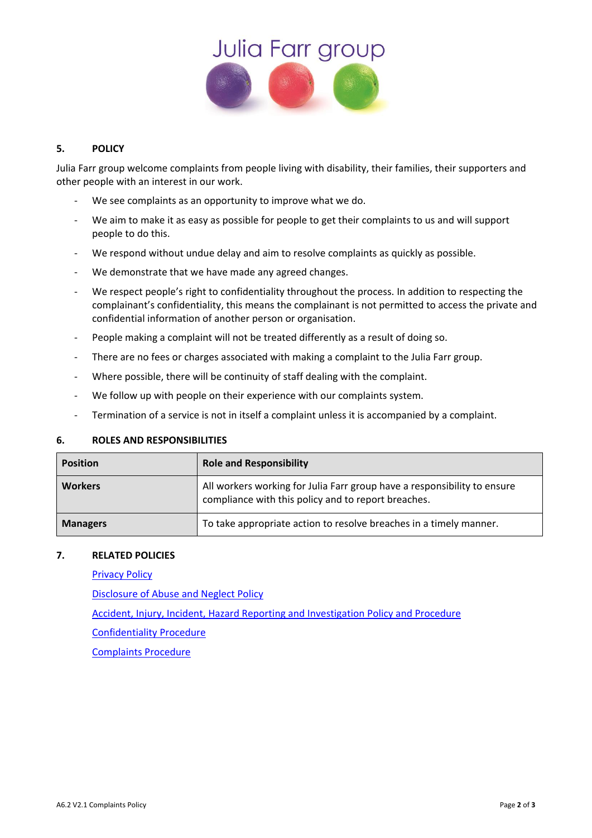

## **5. POLICY**

Julia Farr group welcome complaints from people living with disability, their families, their supporters and other people with an interest in our work.

- We see complaints as an opportunity to improve what we do.
- We aim to make it as easy as possible for people to get their complaints to us and will support people to do this.
- We respond without undue delay and aim to resolve complaints as quickly as possible.
- We demonstrate that we have made any agreed changes.
- We respect people's right to confidentiality throughout the process. In addition to respecting the complainant's confidentiality, this means the complainant is not permitted to access the private and confidential information of another person or organisation.
- People making a complaint will not be treated differently as a result of doing so.
- There are no fees or charges associated with making a complaint to the Julia Farr group.
- Where possible, there will be continuity of staff dealing with the complaint.
- We follow up with people on their experience with our complaints system.
- Termination of a service is not in itself a complaint unless it is accompanied by a complaint.

#### **6. ROLES AND RESPONSIBILITIES**

| <b>Position</b> | <b>Role and Responsibility</b>                                                                                                  |  |
|-----------------|---------------------------------------------------------------------------------------------------------------------------------|--|
| <b>Workers</b>  | All workers working for Julia Farr group have a responsibility to ensure<br>compliance with this policy and to report breaches. |  |
| <b>Managers</b> | To take appropriate action to resolve breaches in a timely manner.                                                              |  |

#### **7. RELATED POLICIES**

[Privacy Policy](../../../(D)%20BUSINESS%20OPERATIONS/D1.%20Operational%20Policies/D1.1%20Privacy%20Policy%20V1.pdf)

[Disclosure of Abuse and Neglect Policy](../../../(B)%20HUMAN%20RESOURCES/B1.%20Human%20Resources/B1.4%20Disclosure%20of%20Abuse%20or%20Neglect%20Policy%20new%20template.doc)

Accident, [Injury, Incident, Hazard Reporting](../../../(C)%20SAFETY%20AND%20SECURITY/C1.%20Health%20&%20Safety/C.1A%20Policies%20and%20Procedures/C1.1.1%20Accident,%20Injury,%20Incident%20and%20Hazard%20Reporting%20Policy%20and%20Procedure.doc) and Investigation Policy and Procedure

[Confidentiality Procedure](../../../(D)%20BUSINESS%20OPERATIONS/D1.%20Operational%20Policies/D1.2.1%20Confidentiality%20Procedure%20new%20template.doc)

[Complaints Procedure](file:///C:/Users/Katherynec/AppData/Local/Microsoft/Windows/INetCache/Content.Outlook/8ANDQOTR/A6.2.1c%20Complaints%20Procedure%20new%20template.doc)